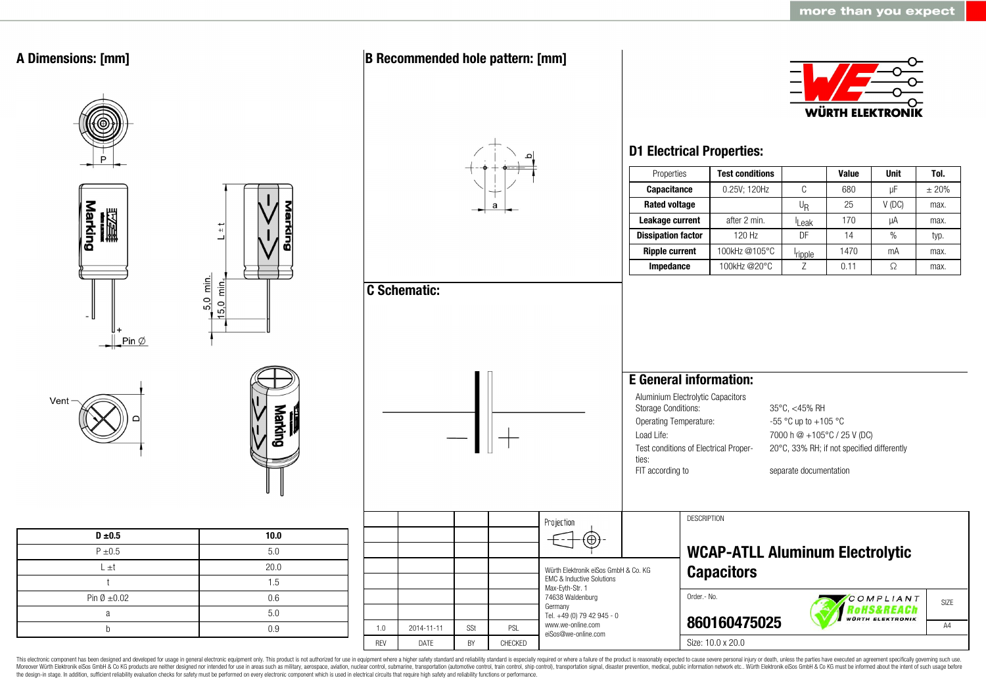

This electronic component has been designed and developed for usage in general electronic equipment only. This product is not authorized for use in equipment where a higher safety standard and reliability standard is espec Moreover Würth Elektronik eiSos GmbH & Co KG products are neither designed nor intended for use in areas such as military, aerospace, aviation, nuclear control, submarine, transportation (automotive control, ship control), the design-in stage. In addition, sufficient reliability evaluation checks for safety must be performed on every electronic component which is used in electrical circuits that require high safety and reliability functions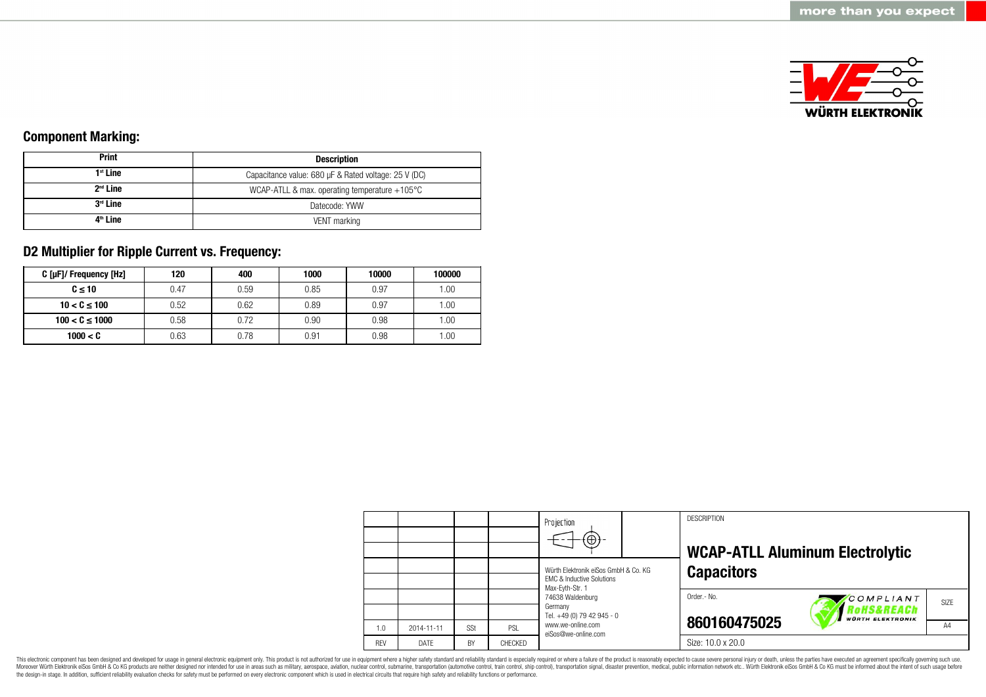

### **Component Marking:**

| <b>Print</b>         | <b>Description</b>                                      |  |  |
|----------------------|---------------------------------------------------------|--|--|
| $1st$ Line           | Capacitance value: 680 µF & Rated voltage: 25 V (DC)    |  |  |
| $2nd$ Line           | WCAP-ATLL & max. operating temperature $+105^{\circ}$ C |  |  |
| 3 <sup>rd</sup> Line | Datecode: YWW                                           |  |  |
| 4 <sup>th</sup> Line | VENT marking                                            |  |  |

### **D2 Multiplier for Ripple Current vs. Frequency:**

| C [µF]/ Frequency [Hz] | 120  | 400  | 1000 | 10000 | 100000 |
|------------------------|------|------|------|-------|--------|
| $C \leq 10$            | 0.47 | 0.59 | 0.85 | 0.97  | .00.   |
| $10 < C \le 100$       | 0.52 | 0.62 | 0.89 | 0.97  | .00.   |
| $100 < C \le 1000$     | 0.58 | 0.72 | 0.90 | 0.98  | .00.   |
| 1000 < C               | 0.63 | 0.78 | 0.91 | 0.98  | .00.   |

|            |            |     |         | Projection<br>⊕                                                              |  | <b>DESCRIPTION</b> | <b>WCAP-ATLL Aluminum Electrolytic</b>            |      |
|------------|------------|-----|---------|------------------------------------------------------------------------------|--|--------------------|---------------------------------------------------|------|
|            |            |     |         | Würth Elektronik eiSos GmbH & Co. KG<br><b>EMC &amp; Inductive Solutions</b> |  | <b>Capacitors</b>  |                                                   |      |
|            |            |     |         | Max-Eyth-Str. 1<br>74638 Waldenburg<br>Germany<br>Tel. +49 (0) 79 42 945 - 0 |  | Order .- No.       | COMPLIANT<br>oHS&REACh<br><b>WÜRTH ELEKTRONIK</b> | SIZE |
| 1.0        | 2014-11-11 | SSt | PSL     | www.we-online.com<br>eiSos@we-online.com                                     |  | 860160475025       |                                                   | A4   |
| <b>RFV</b> | DATE       | BY  | CHECKED |                                                                              |  | Size: 10.0 x 20.0  |                                                   |      |

This electronic component has been designed and developed for usage in general electronic equipment only. This product is not authorized for use in equipment where a higher safety standard and reliability standard is espec Moreover Würth Elektronik eiSos GmbH & Co KG products are neither designed nor intended for use in areas such as military, aerospace, aviation, nuclear control, submarine, transportation (automotive control), stain control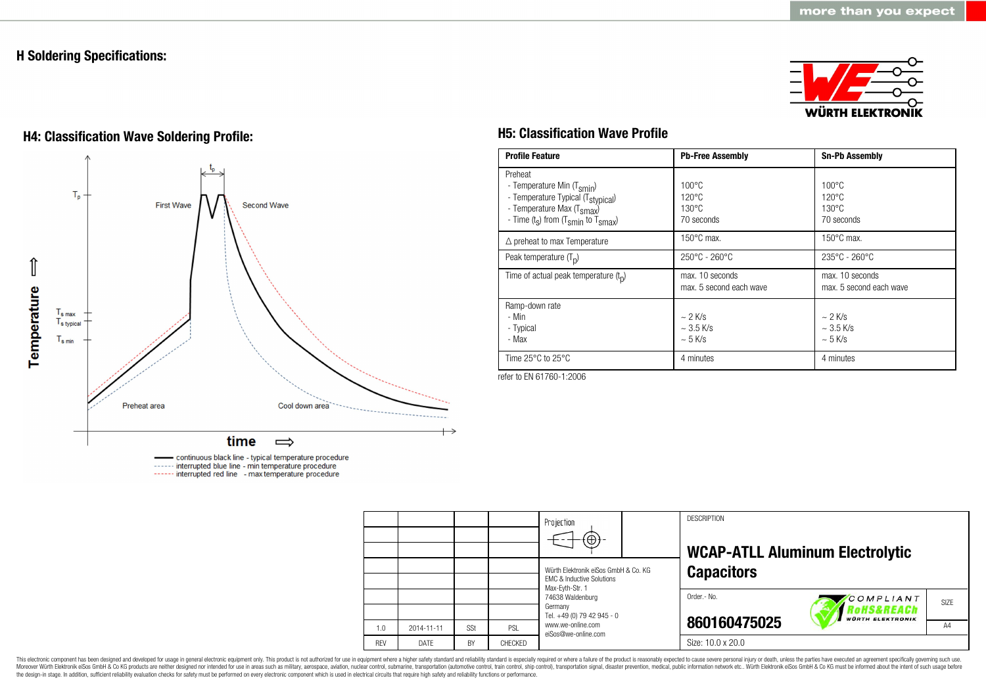### **H Soldering Specifications:**



# **H4: Classification Wave Soldering Profile: H5: Classification Wave Profile**



continuous black line - typical temperature procedure ------ interrupted blue line - min temperature procedure ------ interrupted red line - max temperature procedure

| <b>Profile Feature</b>                                                                                                                                                                          | <b>Pb-Free Assembly</b>                                             | <b>Sn-Pb Assembly</b>                                               |
|-------------------------------------------------------------------------------------------------------------------------------------------------------------------------------------------------|---------------------------------------------------------------------|---------------------------------------------------------------------|
| Preheat<br>- Temperature Min (T <sub>smin</sub> )<br>- Temperature Typical (T <sub>stypical</sub> )<br>- Temperature Max (T <sub>smax</sub> )<br>- Time $(t_s)$ from $(T_{smin}$ to $T_{smax})$ | $100^{\circ}$ C<br>$120^{\circ}$ C<br>$130^{\circ}$ C<br>70 seconds | $100^{\circ}$ C<br>$120^{\circ}$ C<br>$130^{\circ}$ C<br>70 seconds |
| $\triangle$ preheat to max Temperature                                                                                                                                                          | $150^{\circ}$ C max.                                                | $150^{\circ}$ C max.                                                |
| Peak temperature $(T_n)$                                                                                                                                                                        | $250^{\circ}$ C - 260 $^{\circ}$ C                                  | $235^{\circ}$ C - 260 $^{\circ}$ C                                  |
| Time of actual peak temperature $(t_n)$                                                                                                                                                         | max. 10 seconds<br>max. 5 second each wave                          | max. 10 seconds<br>max. 5 second each wave                          |
| Ramp-down rate<br>- Min<br>- Typical<br>- Max                                                                                                                                                   | $\sim$ 2 K/s<br>$\sim$ 3.5 K/s<br>$\sim$ 5 K/s                      | $\sim$ 2 K/s<br>$\sim$ 3.5 K/s<br>$~5$ K/s                          |
| Time $25^{\circ}$ C to $25^{\circ}$ C                                                                                                                                                           | 4 minutes                                                           | 4 minutes                                                           |

refer to EN 61760-1:2006

|            |            |     |         | Projection<br>$\Theta$ )-                                                                                                |  | <b>DESCRIPTION</b> | <b>WCAP-ATLL Aluminum Electrolytic</b> |      |
|------------|------------|-----|---------|--------------------------------------------------------------------------------------------------------------------------|--|--------------------|----------------------------------------|------|
|            |            |     |         | Würth Elektronik eiSos GmbH & Co. KG<br><b>FMC &amp; Inductive Solutions</b>                                             |  | <b>Capacitors</b>  |                                        |      |
|            |            |     |         | Max-Eyth-Str. 1<br>74638 Waldenburg<br>Germany<br>Tel. +49 (0) 79 42 945 - 0<br>www.we-online.com<br>eiSos@we-online.com |  | Order.- No.        | COMPLIANT<br>RoHS&REACh                | SIZE |
| 1.0        | 2014-11-11 | SSt | PSL     |                                                                                                                          |  | 860160475025       | <b>WÜRTH ELEKTRONIK</b>                | A4   |
| <b>RFV</b> | DATE       | BY  | CHECKED |                                                                                                                          |  | Size: 10.0 x 20.0  |                                        |      |

This electronic component has been designed and developed for usage in general electronic equipment only. This product is not authorized for use in equipment where a higher safety standard and reliability standard and reli Moreover Würth Elektronik eiSos GmbH & Co KG products are neither designed nor intended for use in areas such as military, aerospace, aviation, nuclear control, submarine, transportation (automotive control), stain control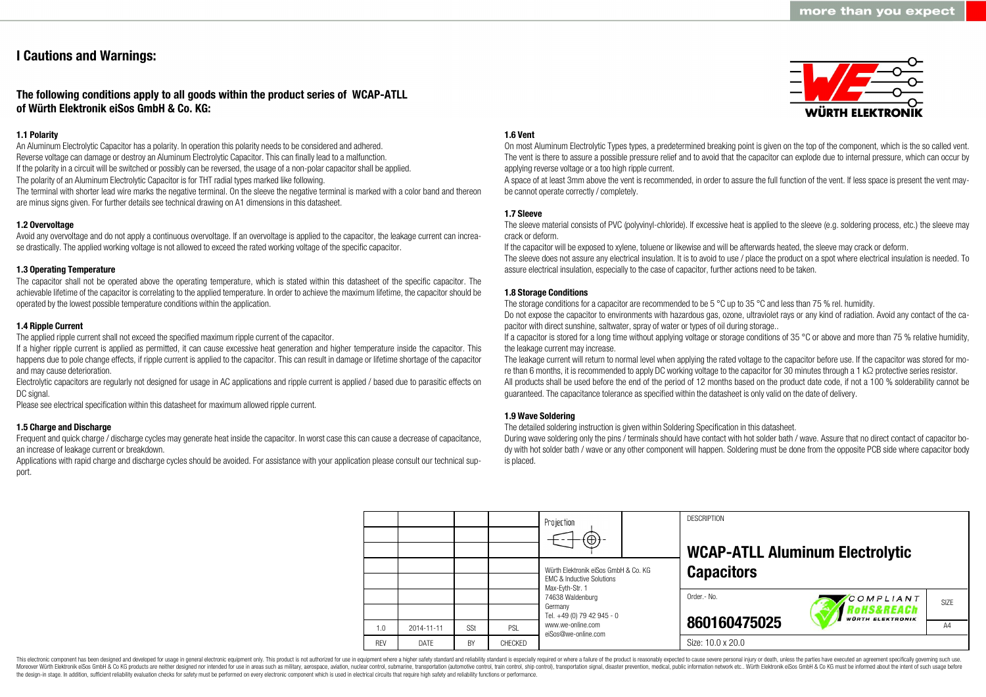### **I Cautions and Warnings:**

### **The following conditions apply to all goods within the product series of WCAP-ATLL of Würth Elektronik eiSos GmbH & Co. KG:**

### **1.1 Polarity**

An Aluminum Electrolytic Capacitor has a polarity. In operation this polarity needs to be considered and adhered. Reverse voltage can damage or destroy an Aluminum Electrolytic Capacitor. This can finally lead to a malfunction. If the polarity in a circuit will be switched or possibly can be reversed, the usage of a non-polar capacitor shall be applied. The polarity of an Aluminum Electrolytic Capacitor is for THT radial types marked like following.

The terminal with shorter lead wire marks the negative terminal. On the sleeve the negative terminal is marked with a color band and thereon are minus signs given. For further details see technical drawing on A1 dimensions in this datasheet.

### **1.2 Overvoltage**

Avoid any overvoltage and do not apply a continuous overvoltage. If an overvoltage is applied to the capacitor, the leakage current can increase drastically. The applied working voltage is not allowed to exceed the rated working voltage of the specific capacitor.

#### **1.3 Operating Temperature**

The capacitor shall not be operated above the operating temperature, which is stated within this datasheet of the specific capacitor. The achievable lifetime of the capacitor is correlating to the applied temperature. In order to achieve the maximum lifetime, the capacitor should be operated by the lowest possible temperature conditions within the application.

#### **1.4 Ripple Current**

The applied ripple current shall not exceed the specified maximum ripple current of the capacitor.

If a higher ripple current is applied as permitted, it can cause excessive heat generation and higher temperature inside the capacitor. This happens due to pole change effects, if ripple current is applied to the capacitor. This can result in damage or lifetime shortage of the capacitor and may cause deterioration.

Electrolytic capacitors are regularly not designed for usage in AC applications and ripple current is applied / based due to parasitic effects on DC signal.

Please see electrical specification within this datasheet for maximum allowed ripple current.

#### **1.5 Charge and Discharge**

Frequent and quick charge / discharge cycles may generate heat inside the capacitor. In worst case this can cause a decrease of capacitance, an increase of leakage current or breakdown.

Applications with rapid charge and discharge cycles should be avoided. For assistance with your application please consult our technical support.

#### **1.6 Vent**

On most Aluminum Electrolytic Types types, a predetermined breaking point is given on the top of the component, which is the so called vent. The vent is there to assure a possible pressure relief and to avoid that the capacitor can explode due to internal pressure, which can occur by applying reverse voltage or a too high ripple current.

A space of at least 3mm above the vent is recommended, in order to assure the full function of the vent. If less space is present the vent maybe cannot operate correctly / completely.

### **1.7 Sleeve**

The sleeve material consists of PVC (polyvinyl-chloride). If excessive heat is applied to the sleeve (e.g. soldering process, etc.) the sleeve may crack or deform.

If the capacitor will be exposed to xylene, toluene or likewise and will be afterwards heated, the sleeve may crack or deform.

The sleeve does not assure any electrical insulation. It is to avoid to use / place the product on a spot where electrical insulation is needed. To assure electrical insulation, especially to the case of capacitor, further actions need to be taken.

#### **1.8 Storage Conditions**

The storage conditions for a capacitor are recommended to be 5 °C up to 35 °C and less than 75 % rel. humidity.

Do not expose the capacitor to environments with hazardous gas, ozone, ultraviolet rays or any kind of radiation. Avoid any contact of the capacitor with direct sunshine, saltwater, spray of water or types of oil during storage..

If a capacitor is stored for a long time without applying voltage or storage conditions of 35 °C or above and more than 75 % relative humidity, the leakage current may increase.

The leakage current will return to normal level when applying the rated voltage to the capacitor before use. If the capacitor was stored for more than 6 months, it is recommended to apply DC working voltage to the capacitor for 30 minutes through a 1 kΩ protective series resistor. All products shall be used before the end of the period of 12 months based on the product date code, if not a 100 % solderability cannot be guaranteed. The capacitance tolerance as specified within the datasheet is only valid on the date of delivery.

#### **1.9 Wave Soldering**

The detailed soldering instruction is given within Soldering Specification in this datasheet.

During wave soldering only the pins / terminals should have contact with hot solder bath / wave. Assure that no direct contact of capacitor body with hot solder bath / wave or any other component will happen. Soldering must be done from the opposite PCB side where capacitor body is placed.

|            |             |     |         | Projection<br>$\bigoplus$                                                    |  | <b>DESCRIPTION</b><br><b>WCAP-ATLL Aluminum Electrolytic</b> |                                                    |                   |  |  |
|------------|-------------|-----|---------|------------------------------------------------------------------------------|--|--------------------------------------------------------------|----------------------------------------------------|-------------------|--|--|
|            |             |     |         | Würth Elektronik eiSos GmbH & Co. KG<br><b>EMC &amp; Inductive Solutions</b> |  | <b>Capacitors</b>                                            |                                                    |                   |  |  |
|            |             |     |         | Max-Evth-Str. 1<br>74638 Waldenburg<br>Germany<br>Tel. +49 (0) 79 42 945 - 0 |  | Order.- No.                                                  | COMPLIANT<br>RoHS&REACh<br><b>WÜRTH ELEKTRONIK</b> | SI <sub>7</sub> F |  |  |
| 1.0        | 2014-11-11  | SSt | PSL     | www.we-online.com<br>eiSos@we-online.com                                     |  | 860160475025                                                 |                                                    | A4                |  |  |
| <b>RFV</b> | <b>DATF</b> | BY  | CHECKED |                                                                              |  | Size: 10.0 x 20.0                                            |                                                    |                   |  |  |

This electronic component has been designed and developed for usage in general electronic equipment only. This product is not authorized for use in equipment where a higher safety standard and reliability standard is espec Moreover Würth Elektronik eiSos GmbH & Co KG products are neither designed nor intended for use in areas such as military, aerospace, aviation, nuclear control, submarine, transportation (automotive control), tain control) the design-in stage. In addition, sufficient reliability evaluation checks for safety must be performed on every electronic component which is used in electrical circuits that require high safety and reliability functions

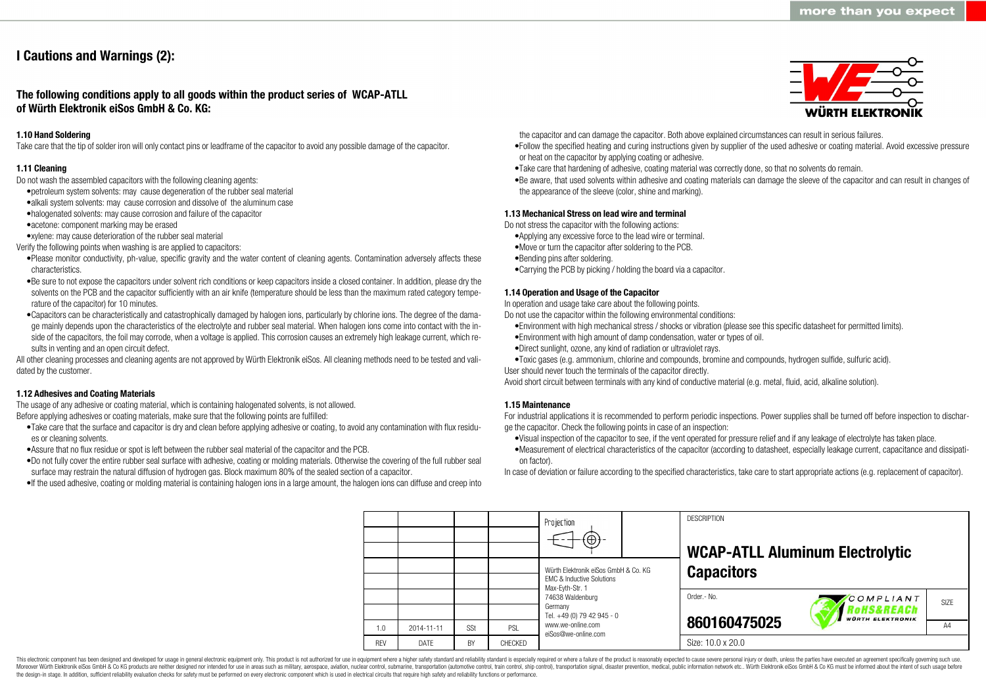# **I Cautions and Warnings (2):**

**The following conditions apply to all goods within the product series of WCAP-ATLL of Würth Elektronik eiSos GmbH & Co. KG:**

#### **1.10 Hand Soldering**

Take care that the tip of solder iron will only contact pins or leadframe of the capacitor to avoid any possible damage of the capacitor.

#### **1.11 Cleaning**

Do not wash the assembled capacitors with the following cleaning agents:

- •petroleum system solvents: may cause degeneration of the rubber seal material
- •alkali system solvents: may cause corrosion and dissolve of the aluminum case
- •halogenated solvents: may cause corrosion and failure of the capacitor
- •acetone: component marking may be erased
- •xylene: may cause deterioration of the rubber seal material
- Verify the following points when washing is are applied to capacitors:
- •Please monitor conductivity, ph-value, specific gravity and the water content of cleaning agents. Contamination adversely affects these characteristics.
- •Be sure to not expose the capacitors under solvent rich conditions or keep capacitors inside a closed container. In addition, please dry the solvents on the PCB and the capacitor sufficiently with an air knife (temperature should be less than the maximum rated category temperature of the capacitor) for 10 minutes.
- •Capacitors can be characteristically and catastrophically damaged by halogen ions, particularly by chlorine ions. The degree of the damage mainly depends upon the characteristics of the electrolyte and rubber seal material. When halogen ions come into contact with the inside of the capacitors, the foil may corrode, when a voltage is applied. This corrosion causes an extremely high leakage current, which results in venting and an open circuit defect.

All other cleaning processes and cleaning agents are not approved by Würth Elektronik eiSos. All cleaning methods need to be tested and validated by the customer.

#### **1.12 Adhesives and Coating Materials**

The usage of any adhesive or coating material, which is containing halogenated solvents, is not allowed. Before applying adhesives or coating materials, make sure that the following points are fulfilled:

- •Take care that the surface and capacitor is dry and clean before applying adhesive or coating, to avoid any contamination with flux residues or cleaning solvents.
- •Assure that no flux residue or spot is left between the rubber seal material of the capacitor and the PCB.
- •Do not fully cover the entire rubber seal surface with adhesive, coating or molding materials. Otherwise the covering of the full rubber seal surface may restrain the natural diffusion of hydrogen gas. Block maximum 80% of the sealed section of a capacitor.
- •If the used adhesive, coating or molding material is containing halogen ions in a large amount, the halogen ions can diffuse and creep into



the capacitor and can damage the capacitor. Both above explained circumstances can result in serious failures.

- •Follow the specified heating and curing instructions given by supplier of the used adhesive or coating material. Avoid excessive pressure or heat on the capacitor by applying coating or adhesive.
- •Take care that hardening of adhesive, coating material was correctly done, so that no solvents do remain.
- •Be aware, that used solvents within adhesive and coating materials can damage the sleeve of the capacitor and can result in changes of the appearance of the sleeve (color, shine and marking).

#### **1.13 Mechanical Stress on lead wire and terminal**

Do not stress the capacitor with the following actions:

- •Applying any excessive force to the lead wire or terminal.
- •Move or turn the capacitor after soldering to the PCB.
- •Bending pins after soldering.
- •Carrying the PCB by picking / holding the board via a capacitor.

#### **1.14 Operation and Usage of the Capacitor**

In operation and usage take care about the following points.

Do not use the capacitor within the following environmental conditions:

- •Environment with high mechanical stress / shocks or vibration (please see this specific datasheet for permitted limits).
- •Environment with high amount of damp condensation, water or types of oil.
- •Direct sunlight, ozone, any kind of radiation or ultraviolet rays.
- •Toxic gases (e.g. ammonium, chlorine and compounds, bromine and compounds, hydrogen sulfide, sulfuric acid).

User should never touch the terminals of the capacitor directly.

Avoid short circuit between terminals with any kind of conductive material (e.g. metal, fluid, acid, alkaline solution).

#### **1.15 Maintenance**

For industrial applications it is recommended to perform periodic inspections. Power supplies shall be turned off before inspection to discharge the capacitor. Check the following points in case of an inspection:

- •Visual inspection of the capacitor to see, if the vent operated for pressure relief and if any leakage of electrolyte has taken place.
- •Measurement of electrical characteristics of the capacitor (according to datasheet, especially leakage current, capacitance and dissipation factor).

In case of deviation or failure according to the specified characteristics, take care to start appropriate actions (e.g. replacement of capacitor).

**DESCRIPTION** Projection **WCAP-ATLL Aluminum Electrolytic** Würth Elektronik eiSos GmbH & Co. KG **Capacitors** EMC & Inductive Solutions Max-Eyth-Str. 1 74638 Waldenburg Order.- No. COMPLIANT SIZE Germany **RoHS&REACh** Tel. +49 (0) 79 42 945 - 0 **VÜRTH ELEKTRONIK 860160475025** www.we-online.com A<sub>4</sub> 1.0 2014-11-11 S<sub>St</sub> PSL eiSos@we-online.com Size: 10.0 x 20.0 REV DATE BY CHECKED

This electronic component has been designed and developed for usage in general electronic equipment only. This product is not authorized for use in equipment where a higher safety standard and reliability standard and reli Moreover Würth Elektronik eiSos GmbH & Co KG products are neither designed nor intended for use in areas such as military, aerospace, aviation, nuclear control, submarine, transportation (automotive control), tain control) the design-in stage. In addition, sufficient reliability evaluation checks for safety must be performed on every electronic component which is used in electrical circuits that require high safety and reliability functions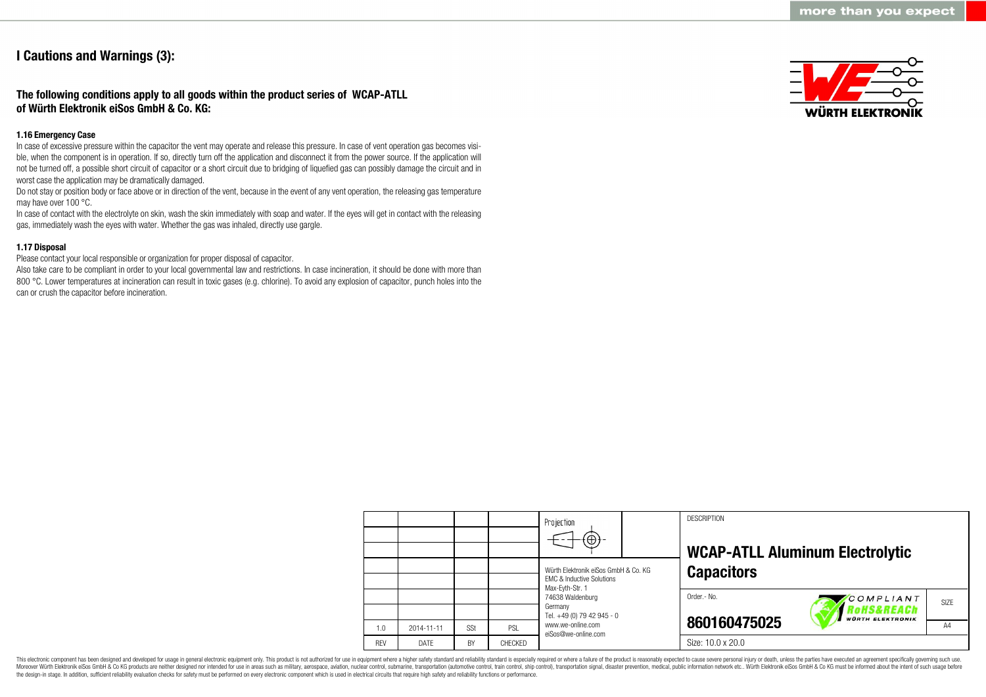## **I Cautions and Warnings (3):**

### **The following conditions apply to all goods within the product series of WCAP-ATLL of Würth Elektronik eiSos GmbH & Co. KG:**

#### **1.16 Emergency Case**

In case of excessive pressure within the capacitor the vent may operate and release this pressure. In case of vent operation gas becomes visible, when the component is in operation. If so, directly turn off the application and disconnect it from the power source. If the application will not be turned off, a possible short circuit of capacitor or a short circuit due to bridging of liquefied gas can possibly damage the circuit and in worst case the application may be dramatically damaged.

Do not stay or position body or face above or in direction of the vent, because in the event of any vent operation, the releasing gas temperature may have over 100 °C.

In case of contact with the electrolyte on skin, wash the skin immediately with soap and water. If the eyes will get in contact with the releasing gas, immediately wash the eyes with water. Whether the gas was inhaled, directly use gargle.

### **1.17 Disposal**

Please contact your local responsible or organization for proper disposal of capacitor.

Also take care to be compliant in order to your local governmental law and restrictions. In case incineration, it should be done with more than 800 °C. Lower temperatures at incineration can result in toxic gases (e.g. chlorine). To avoid any explosion of capacitor, punch holes into the can or crush the capacitor before incineration.



|            |            |     |                | Projection<br>$(\oplus)$                                                     |  | <b>DESCRIPTION</b> | <b>WCAP-ATLL Aluminum Electrolytic</b>            |                   |  |
|------------|------------|-----|----------------|------------------------------------------------------------------------------|--|--------------------|---------------------------------------------------|-------------------|--|
|            |            |     |                | Würth Elektronik eiSos GmbH & Co. KG<br><b>FMC &amp; Inductive Solutions</b> |  | <b>Capacitors</b>  |                                                   |                   |  |
|            |            |     |                | Max-Eyth-Str. 1<br>74638 Waldenburg<br>Germany<br>Tel. +49 (0) 79 42 945 - 0 |  | Order.- No.        | COMPLIANT<br>oHS&REACh<br><b>WÜRTH ELEKTRONIK</b> | SI <sub>7</sub> F |  |
| 1.0        | 2014-11-11 | SSt | PSL            | www.we-online.com<br>eiSos@we-online.com                                     |  | 860160475025       |                                                   | A <sub>4</sub>    |  |
| <b>RFV</b> | DATE       | BY  | <b>CHECKED</b> |                                                                              |  | Size: 10.0 x 20.0  |                                                   |                   |  |

This electronic component has been designed and developed for usage in general electronic equipment only. This product is not authorized for use in equipment where a higher safety standard and reliability standard is espec Moreover Würth Elektronik eiSos GmbH & Co KG products are neither designed nor intended for use in areas such as military, aerospace, aviation, nuclear control, submarine, transportation (automotive control, ship control), the design-in stage. In addition, sufficient reliability evaluation checks for safety must be performed on every electronic component which is used in electrical circuits that require high safety and reliability functions